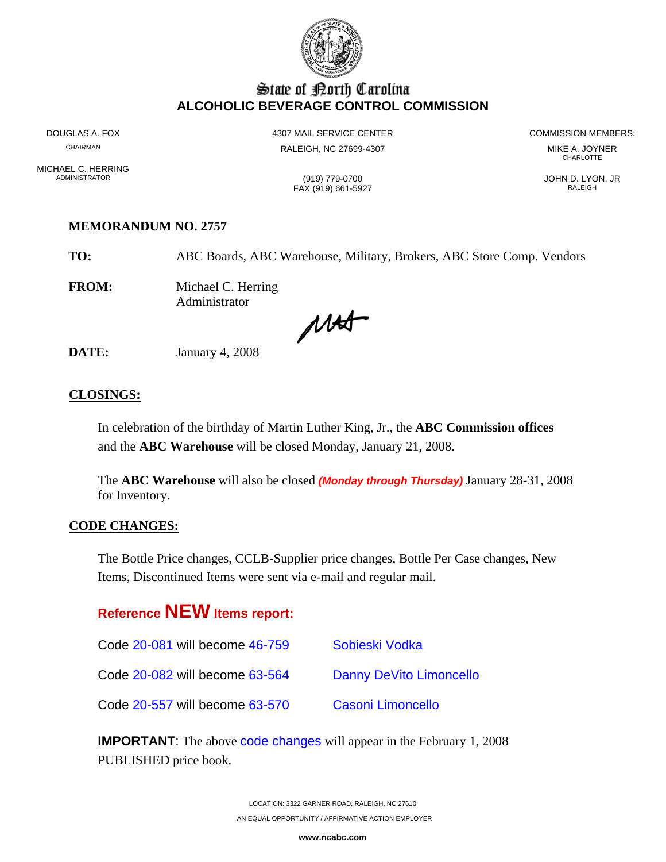

## State of Borth Carolina **ALCOHOLIC BEVERAGE CONTROL COMMISSION**

MICHAEL C. HERRING<br>ADMINISTRATOR

DOUGLAS A. FOX **A COMMISSION MEMBERS:** 4307 MAIL SERVICE CENTER **A COMMISSION MEMBERS:** CHAIRMAN RALEIGH, NC 27699-4307 MIKE A. JOYNER

**CHARLOTTE** 

ADMINISTRATOR (919) 779-0700 JOHN D. LYON, JR FAX (919) 661-5927 RALEIGH

### **MEMORANDUM NO. 2757**

**TO:** ABC Boards, ABC Warehouse, Military, Brokers, ABC Store Comp. Vendors

**FROM:** Michael C. Herring Administrator

Mat

**DATE:** January 4, 2008

### **CLOSINGS:**

In celebration of the birthday of Martin Luther King, Jr., the **ABC Commission offices** and the **ABC Warehouse** will be closed Monday, January 21, 2008.

The **ABC Warehouse** will also be closed *(Monday through Thursday)* January 28-31, 2008 for Inventory.

### **CODE CHANGES:**

The Bottle Price changes, CCLB-Supplier price changes, Bottle Per Case changes, New Items, Discontinued Items were sent via e-mail and regular mail.

# **Reference NEW Items report:**

| Code 20-081 will become 46-759 | Sobieski Vodka          |
|--------------------------------|-------------------------|
| Code 20-082 will become 63-564 | Danny DeVito Limoncello |
| Code 20-557 will become 63-570 | Casoni Limoncello       |

**IMPORTANT**: The above code changes will appear in the February 1, 2008 PUBLISHED price book.

> LOCATION: 3322 GARNER ROAD, RALEIGH, NC 27610 AN EQUAL OPPORTUNITY / AFFIRMATIVE ACTION EMPLOYER

> > **www.ncabc.com**